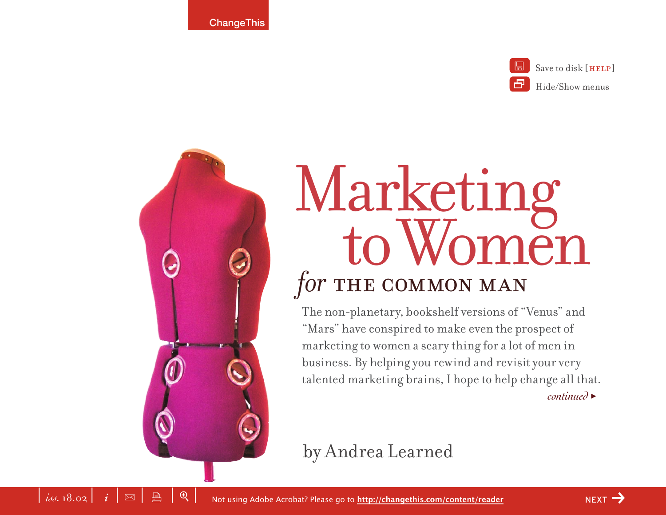$\left| i\right\rangle _{i,j=1}^{i=1}$   $\left| i\right\rangle _{i=1}^{i=1}$   $\left| i\right\rangle _{i=1}^{i=1}$   $\left| i\right\rangle _{i=1}^{i=1}$   $\left| i\right\rangle _{i=1}^{i=1}$   $\left| i\right\rangle _{i=1}^{i=1}$   $\left| i\right\rangle _{i=1}^{i=1}$   $\left| i\right\rangle _{i=1}^{i=1}$   $\left| i\right\rangle _{i=1}^{i=1}$   $\left| i\right\rangle _{i=1}^{i=1}$ 



# Marketing to Women for THE COMMON MAN

The non-planetary, bookshelf versions of "Venus" and "Mars" have conspired to make even the prospect of marketing to women a scary thing for a lot of men in business. By helping you rewind and revisit your very talented marketing brains, I hope to help change all that. *continued* >

# by Andrea Learned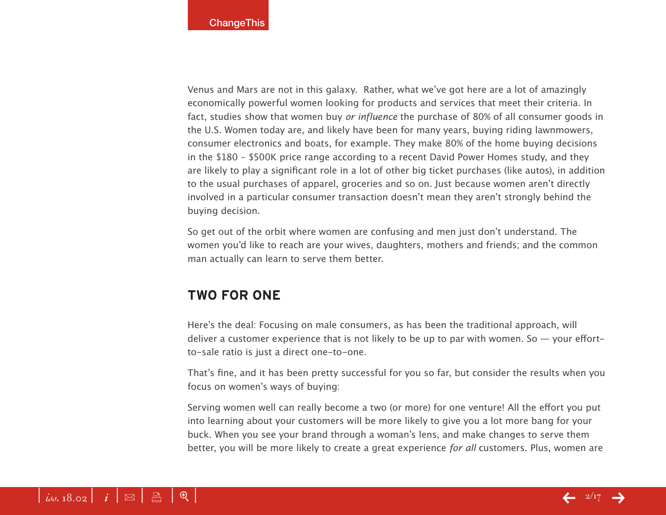Venus and Mars are not in this galaxy. Rather, what we've got here are a lot of amazingly economically powerful women looking for products and services that meet their criteria. In fact, studies show that women buy *or influence* the purchase of 80% of all consumer goods in the U.S. Women today are, and likely have been for many years, buying riding lawnmowers, consumer electronics and boats, for example. They make 80% of the home buying decisions in the \$180 – \$500K price range according to a recent David Power Homes study, and they are likely to play a significant role in a lot of other big ticket purchases (like autos), in addition to the usual purchases of apparel, groceries and so on. Just because women aren't directly involved in a particular consumer transaction doesn't mean they aren't strongly behind the buying decision.

So get out of the orbit where women are confusing and men just don't understand. The women you'd like to reach are your wives, daughters, mothers and friends; and the common man actually can learn to serve them better.

# **Two for One**

Here's the deal: Focusing on male consumers, as has been the traditional approach, will deliver a customer experience that is not likely to be up to par with women. So  $-$  your effortto-sale ratio is just a direct one-to-one.

That's fine, and it has been pretty successful for you so far, but consider the results when you focus on women's ways of buying:

Serving women well can really become a two (or more) for one venture! All the effort you put into learning about your customers will be more likely to give you a lot more bang for your buck. When you see your brand through a woman's lens, and make changes to serve them better, you will be more likely to create a great experience *for all* customers. Plus, women are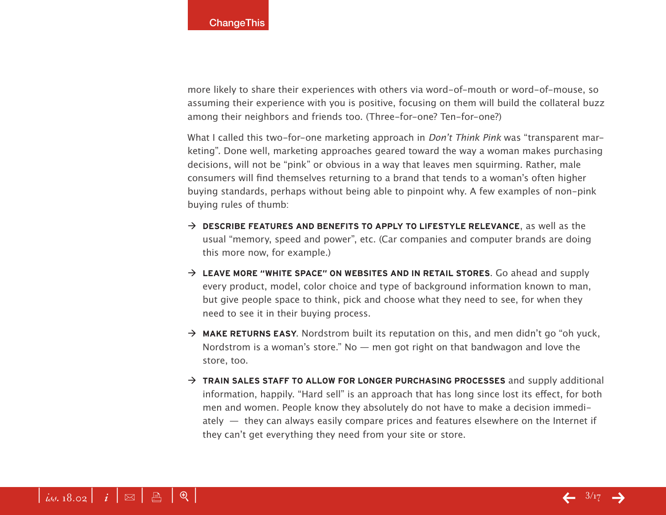more likely to share their experiences with others via word-of-mouth or word-of-mouse, so assuming their experience with you is positive, focusing on them will build the collateral buzz among their neighbors and friends too. (Three-for-one? Ten-for-one?)

What I called this two-for-one marketing approach in *Don't Think Pink* was "transparent marketing". Done well, marketing approaches geared toward the way a woman makes purchasing decisions, will not be "pink" or obvious in a way that leaves men squirming. Rather, male consumers will find themselves returning to a brand that tends to a woman's often higher buying standards, perhaps without being able to pinpoint why. A few examples of non-pink buying rules of thumb:

- → **DESCRIBE FEATURES AND BENEFITS TO APPLY TO LIFESTYLE RELEVANCE**, as well as the usual "memory, speed and power", etc. (Car companies and computer brands are doing this more now, for example.)
- → LEAVE MORE "WHITE SPACE" ON WEBSITES AND IN RETAIL STORES. Go ahead and supply every product, model, color choice and type of background information known to man, but give people space to think, pick and choose what they need to see, for when they need to see it in their buying process.
- $\rightarrow$  **MAKE RETURNS EASY.** Nordstrom built its reputation on this, and men didn't go "oh yuck, Nordstrom is a woman's store." No  $-$  men got right on that bandwagon and love the store, too.
- → **TRAIN SALES STAFF TO ALLOW FOR LONGER PURCHASING PROCESSES** and supply additional information, happily. "Hard sell" is an approach that has long since lost its effect, for both men and women. People know they absolutely do not have to make a decision immediately  $-$  they can always easily compare prices and features elsewhere on the Internet if they can't get everything they need from your site or store.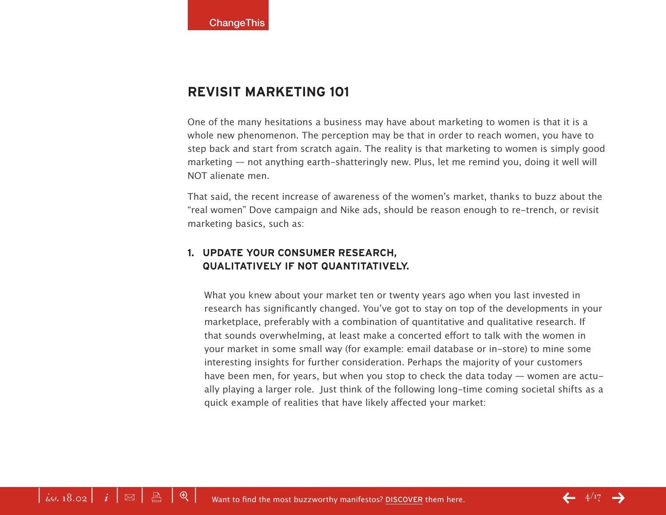# **Revisit Marketing 101**

One of the many hesitations a business may have about marketing to women is that it is a whole new phenomenon. The perception may be that in order to reach women, you have to step back and start from scratch again. The reality is that marketing to women is simply good marketing — not anything earth-shatteringly new. Plus, let me remind you, doing it well will NOT alienate men.

That said, the recent increase of awareness of the women's market, thanks to buzz about the "real women" Dove campaign and Nike ads, should be reason enough to re-trench, or revisit marketing basics, such as:

# **1. Update your consumer research, qualitatively if not quantitatively.**

What you knew about your market ten or twenty years ago when you last invested in research has significantly changed. You've got to stay on top of the developments in your marketplace, preferably with a combination of quantitative and qualitative research. If that sounds overwhelming, at least make a concerted effort to talk with the women in your market in some small way (for example: email database or in-store) to mine some interesting insights for further consideration. Perhaps the majority of your customers have been men, for years, but when you stop to check the data today — women are actually playing a larger role. Just think of the following long-time coming societal shifts as a quick example of realities that have likely affected your market: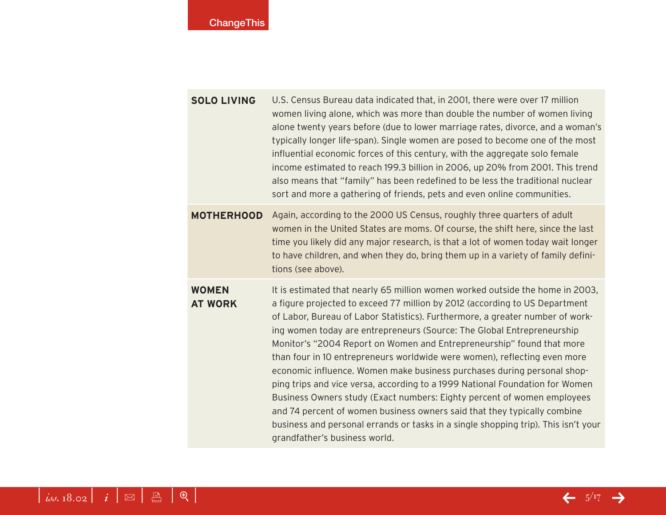| <b>SOLO LIVING</b> | U.S. Census Bureau data indicated that, in 2001, there were over 17 million    |
|--------------------|--------------------------------------------------------------------------------|
|                    | women living alone, which was more than double the number of women living      |
|                    | alone twenty years before (due to lower marriage rates, divorce, and a woman's |
|                    | typically longer life-span). Single women are posed to become one of the most  |
|                    | influential economic forces of this century, with the aggregate solo female    |
|                    | income estimated to reach 199.3 billion in 2006, up 20% from 2001. This trend  |
|                    | also means that "family" has been redefined to be less the traditional nuclear |
|                    | sort and more a gathering of friends, pets and even online communities.        |

**MOTHERHOOD** Again, according to the 2000 US Census, roughly three quarters of adult women in the United States are moms. Of course, the shift here, since the last time you likely did any major research, is that a lot of women today wait longer to have children, and when they do, bring them up in a variety of family definitions (see above).

**Women at Work** It is estimated that nearly 65 million women worked outside the home in 2003, a figure projected to exceed 77 million by 2012 (according to US Department of Labor, Bureau of Labor Statistics). Furthermore, a greater number of working women today are entrepreneurs (Source: The Global Entrepreneurship Monitor's "2004 Report on Women and Entrepreneurship" found that more than four in 10 entrepreneurs worldwide were women), reflecting even more economic influence. Women make business purchases during personal shopping trips and vice versa, according to a 1999 National Foundation for Women Business Owners study (Exact numbers: Eighty percent of women employees and 74 percent of women business owners said that they typically combine business and personal errands or tasks in a single shopping trip). This isn't your grandfather's business world.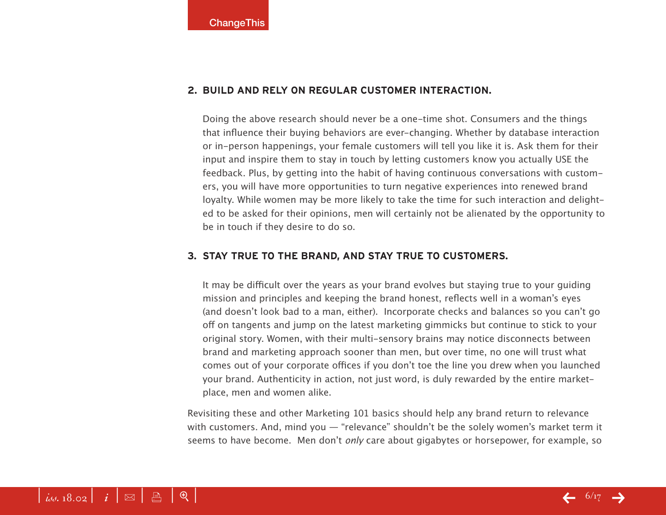# **2. Build and rely on regular customer interaction.**

Doing the above research should never be a one-time shot. Consumers and the things that influence their buying behaviors are ever-changing. Whether by database interaction or in-person happenings, your female customers will tell you like it is. Ask them for their input and inspire them to stay in touch by letting customers know you actually USE the feedback. Plus, by getting into the habit of having continuous conversations with customers, you will have more opportunities to turn negative experiences into renewed brand loyalty. While women may be more likely to take the time for such interaction and delighted to be asked for their opinions, men will certainly not be alienated by the opportunity to be in touch if they desire to do so.

# **3. Stay true to the brand, and stay true to customers.**

It may be difficult over the years as your brand evolves but staying true to your guiding mission and principles and keeping the brand honest, reflects well in a woman's eyes (and doesn't look bad to a man, either). Incorporate checks and balances so you can't go off on tangents and jump on the latest marketing gimmicks but continue to stick to your original story. Women, with their multi-sensory brains may notice disconnects between brand and marketing approach sooner than men, but over time, no one will trust what comes out of your corporate offices if you don't toe the line you drew when you launched your brand. Authenticity in action, not just word, is duly rewarded by the entire marketplace, men and women alike.

Revisiting these and other Marketing 101 basics should help any brand return to relevance with customers. And, mind you — "relevance" shouldn't be the solely women's market term it seems to have become. Men don't *only* care about gigabytes or horsepower, for example, so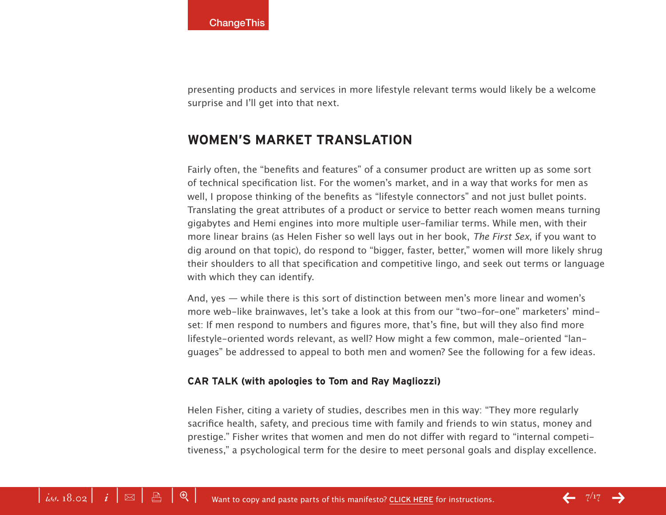presenting products and services in more lifestyle relevant terms would likely be a welcome surprise and I'll get into that next.

# **Women's Market Translation**

Fairly often, the "benefits and features" of a consumer product are written up as some sort of technical specification list. For the women's market, and in a way that works for men as well, I propose thinking of the benefits as "lifestyle connectors" and not just bullet points. Translating the great attributes of a product or service to better reach women means turning gigabytes and Hemi engines into more multiple user-familiar terms. While men, with their more linear brains (as Helen Fisher so well lays out in her book, *The First Sex*, if you want to dig around on that topic), do respond to "bigger, faster, better," women will more likely shrug their shoulders to all that specification and competitive lingo, and seek out terms or language with which they can identify.

And, yes — while there is this sort of distinction between men's more linear and women's more web-like brainwaves, let's take a look at this from our "two-for-one" marketers' mindset: If men respond to numbers and figures more, that's fine, but will they also find more lifestyle-oriented words relevant, as well? How might a few common, male-oriented "languages" be addressed to appeal to both men and women? See the following for a few ideas.

# **Car Talk (with apologies to Tom and Ray Magliozzi)**

Helen Fisher, citing a variety of studies, describes men in this way: "They more regularly sacrifice health, safety, and precious time with family and friends to win status, money and prestige." Fisher writes that women and men do not differ with regard to "internal competitiveness," a psychological term for the desire to meet personal goals and display excellence.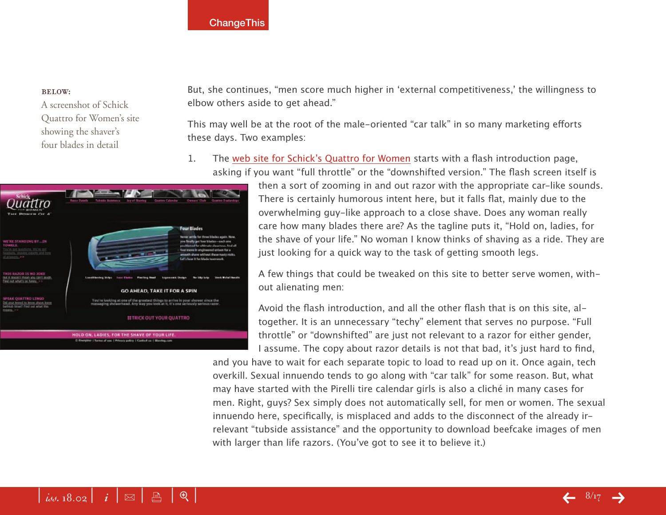#### Below:

A screenshot of Schick Quattro for Women's site showing the shaver's four blades in detail



But, she continues, "men score much higher in 'external competitiveness,' the willingness to elbow others aside to get ahead."

This may well be at the root of the male-oriented "car talk" in so many marketing efforts these days. Two examples:

1. The [web site for Schick's Quattro for Wome](http://www.quattroforwomen.com)n starts with a flash introduction page, asking if you want "full throttle" or the "downshifted version." The flash screen itself is

> then a sort of zooming in and out razor with the appropriate car-like sounds. There is certainly humorous intent here, but it falls flat, mainly due to the overwhelming guy-like approach to a close shave. Does any woman really care how many blades there are? As the tagline puts it, "Hold on, ladies, for the shave of your life." No woman I know thinks of shaving as a ride. They are just looking for a quick way to the task of getting smooth legs.

A few things that could be tweaked on this site to better serve women, without alienating men:

Avoid the flash introduction, and all the other flash that is on this site, altogether. It is an unnecessary "techy" element that serves no purpose. "Full throttle" or "downshifted" are just not relevant to a razor for either gender, I assume. The copy about razor details is not that bad, it's just hard to find, and you have to wait for each separate topic to load to read up on it. Once again, tech overkill. Sexual innuendo tends to go along with "car talk" for some reason. But, what may have started with the Pirelli tire calendar girls is also a cliché in many cases for men. Right, guys? Sex simply does not automatically sell, for men or women. The sexual innuendo here, specifically, is misplaced and adds to the disconnect of the already irrelevant "tubside assistance" and the opportunity to download beefcake images of men

with larger than life razors. (You've got to see it to believe it.)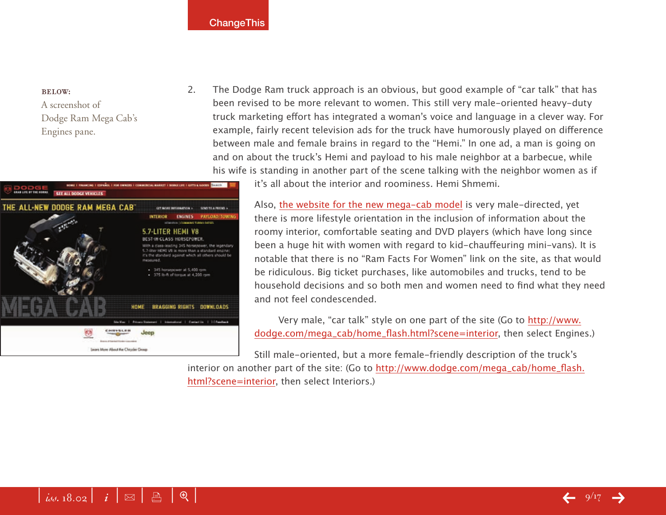#### Below:

A screenshot of Dodge Ram Mega Cab's Engines pane.



2. The Dodge Ram truck approach is an obvious, but good example of "car talk" that has been revised to be more relevant to women. This still very male-oriented heavy-duty truck marketing effort has integrated a woman's voice and language in a clever way. For example, fairly recent television ads for the truck have humorously played on difference between male and female brains in regard to the "Hemi." In one ad, a man is going on and on about the truck's Hemi and payload to his male neighbor at a barbecue, while his wife is standing in another part of the scene talking with the neighbor women as if

it's all about the interior and roominess. Hemi Shmemi.

Also, [the website for the new mega-cab mode](http://www.dodge.com/mega_cab/home_flash.html?scene=interior)l is very male-directed, yet there is more lifestyle orientation in the inclusion of information about the roomy interior, comfortable seating and DVD players (which have long since been a huge hit with women with regard to kid-chauffeuring mini-vans). It is notable that there is no "Ram Facts For Women" link on the site, as that would be ridiculous. Big ticket purchases, like automobiles and trucks, tend to be household decisions and so both men and women need to find what they need and not feel condescended.

Very male, "car talk" style on one part of the site (Go to [http://www.](http://www.dodge.com/mega_cab/home_flash.html?scene=interior) [dodge.com/mega\\_cab/home\\_flash.html?scene=interio](http://www.dodge.com/mega_cab/home_flash.html?scene=interior)r, then select Engines.)

Still male-oriented, but a more female-friendly description of the truck's interior on another part of the site: (Go to [http://www.dodge.com/mega\\_cab/home\\_flash.](http://www.dodge.com/mega_cab/home_flash.html?scene=interior) [html?scene=interio](http://www.dodge.com/mega_cab/home_flash.html?scene=interior)r, then select Interiors.)

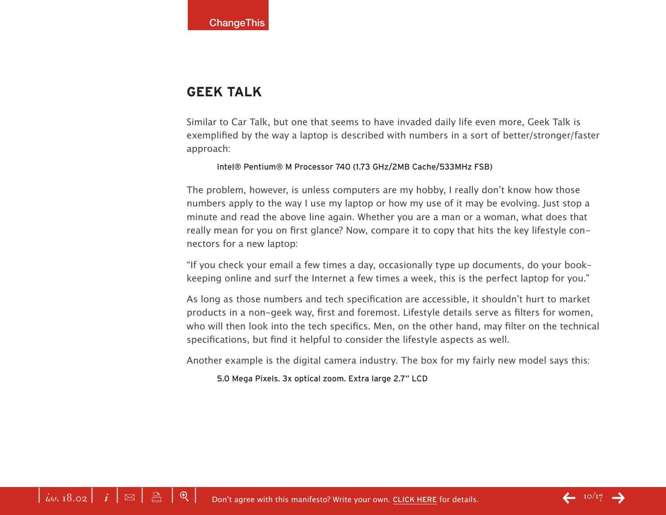# **Geek Talk**

Similar to Car Talk, but one that seems to have invaded daily life even more, Geek Talk is exemplified by the way a laptop is described with numbers in a sort of better/stronger/faster approach:

#### Intel® Pentium® M Processor 740 (1.73 GHz/2MB Cache/533MHz FSB)

The problem, however, is unless computers are my hobby, I really don't know how those numbers apply to the way I use my laptop or how my use of it may be evolving. Just stop a minute and read the above line again. Whether you are a man or a woman, what does that really mean for you on first glance? Now, compare it to copy that hits the key lifestyle connectors for a new laptop:

"If you check your email a few times a day, occasionally type up documents, do your bookkeeping online and surf the Internet a few times a week, this is the perfect laptop for you."

As long as those numbers and tech specification are accessible, it shouldn't hurt to market products in a non-geek way, first and foremost. Lifestyle details serve as filters for women, who will then look into the tech specifics. Men, on the other hand, may filter on the technical specifications, but find it helpful to consider the lifestyle aspects as well.

Another example is the digital camera industry. The box for my fairly new model says this:

5.0 Mega Pixels. 3x optical zoom. Extra large 2.7" LCD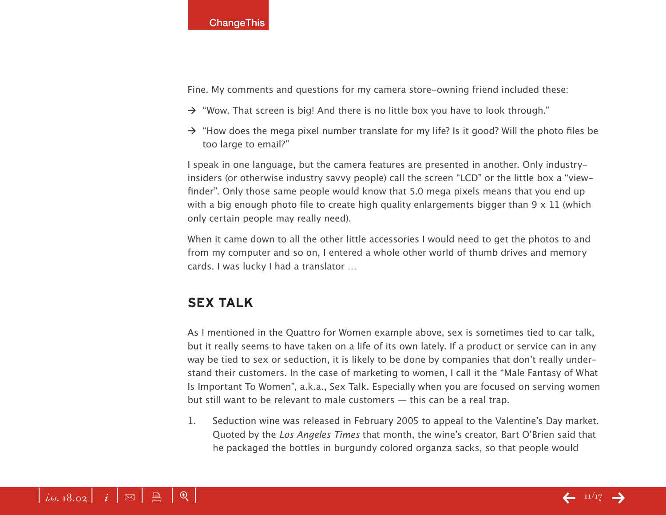Fine. My comments and questions for my camera store-owning friend included these:

- $\rightarrow$  "Wow. That screen is big! And there is no little box you have to look through."
- $\rightarrow$  "How does the mega pixel number translate for my life? Is it good? Will the photo files be too large to email?"

I speak in one language, but the camera features are presented in another. Only industryinsiders (or otherwise industry savvy people) call the screen "LCD" or the little box a "viewfinder". Only those same people would know that 5.0 mega pixels means that you end up with a big enough photo file to create high quality enlargements bigger than  $9 \times 11$  (which only certain people may really need).

When it came down to all the other little accessories I would need to get the photos to and from my computer and so on, I entered a whole other world of thumb drives and memory cards. I was lucky I had a translator …

# **Sex Talk**

As I mentioned in the Quattro for Women example above, sex is sometimes tied to car talk, but it really seems to have taken on a life of its own lately. If a product or service can in any way be tied to sex or seduction, it is likely to be done by companies that don't really understand their customers. In the case of marketing to women, I call it the "Male Fantasy of What Is Important To Women", a.k.a., Sex Talk. Especially when you are focused on serving women but still want to be relevant to male customers — this can be a real trap.

1. Seduction wine was released in February 2005 to appeal to the Valentine's Day market. Quoted by the *Los Angeles Times* that month, the wine's creator, Bart O'Brien said that he packaged the bottles in burgundy colored organza sacks, so that people would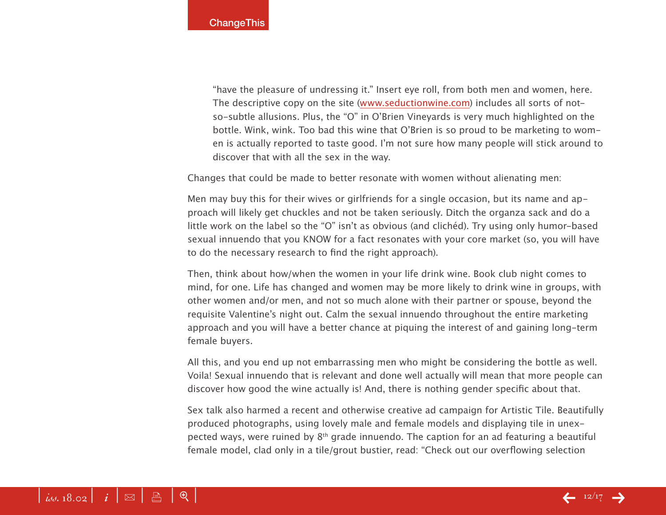"have the pleasure of undressing it." Insert eye roll, from both men and women, here. The descriptive copy on the site ([www.seductionwine.co](http://www.seductionwine.com)m) includes all sorts of notso-subtle allusions. Plus, the "O" in O'Brien Vineyards is very much highlighted on the bottle. Wink, wink. Too bad this wine that O'Brien is so proud to be marketing to women is actually reported to taste good. I'm not sure how many people will stick around to discover that with all the sex in the way.

Changes that could be made to better resonate with women without alienating men:

Men may buy this for their wives or girlfriends for a single occasion, but its name and approach will likely get chuckles and not be taken seriously. Ditch the organza sack and do a little work on the label so the "O" isn't as obvious (and clichéd). Try using only humor-based sexual innuendo that you KNOW for a fact resonates with your core market (so, you will have to do the necessary research to find the right approach).

Then, think about how/when the women in your life drink wine. Book club night comes to mind, for one. Life has changed and women may be more likely to drink wine in groups, with other women and/or men, and not so much alone with their partner or spouse, beyond the requisite Valentine's night out. Calm the sexual innuendo throughout the entire marketing approach and you will have a better chance at piquing the interest of and gaining long-term female buyers.

All this, and you end up not embarrassing men who might be considering the bottle as well. Voila! Sexual innuendo that is relevant and done well actually will mean that more people can discover how good the wine actually is! And, there is nothing gender specific about that.

Sex talk also harmed a recent and otherwise creative ad campaign for Artistic Tile. Beautifully produced photographs, using lovely male and female models and displaying tile in unexpected ways, were ruined by  $8<sup>th</sup>$  grade innuendo. The caption for an ad featuring a beautiful female model, clad only in a tile/grout bustier, read: "Check out our overflowing selection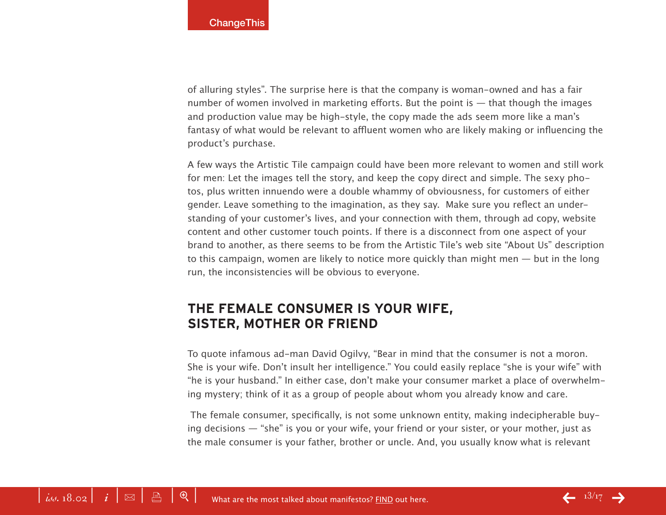of alluring styles". The surprise here is that the company is woman-owned and has a fair number of women involved in marketing efforts. But the point is — that though the images and production value may be high-style, the copy made the ads seem more like a man's fantasy of what would be relevant to affluent women who are likely making or influencing the product's purchase.

A few ways the Artistic Tile campaign could have been more relevant to women and still work for men: Let the images tell the story, and keep the copy direct and simple. The sexy photos, plus written innuendo were a double whammy of obviousness, for customers of either gender. Leave something to the imagination, as they say. Make sure you reflect an understanding of your customer's lives, and your connection with them, through ad copy, website content and other customer touch points. If there is a disconnect from one aspect of your brand to another, as there seems to be from the Artistic Tile's web site "About Us" description to this campaign, women are likely to notice more quickly than might men — but in the long run, the inconsistencies will be obvious to everyone.

# **The Female Consumer Is Your Wife, Sister, Mother or Friend**

To quote infamous ad-man David Ogilvy, "Bear in mind that the consumer is not a moron. She is your wife. Don't insult her intelligence." You could easily replace "she is your wife" with "he is your husband." In either case, don't make your consumer market a place of overwhelming mystery; think of it as a group of people about whom you already know and care.

 The female consumer, specifically, is not some unknown entity, making indecipherable buying decisions — "she" is you or your wife, your friend or your sister, or your mother, just as the male consumer is your father, brother or uncle. And, you usually know what is relevant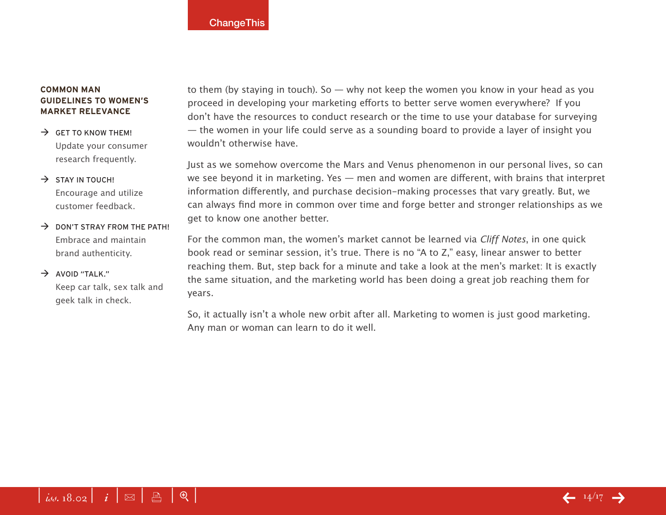## **Common Man Guidelines To Women's Market Relevance**

 $\rightarrow$  GET TO KNOW THEM! Update your consumer research frequently.

# $\rightarrow$  STAY IN TOUCH! Encourage and utilize customer feedback.

 $\rightarrow$  DON'T STRAY FROM THE PATH! Embrace and maintain brand authenticity.

# $\rightarrow$  AVOID "TALK."

Keep car talk, sex talk and geek talk in check.

to them (by staying in touch). So — why not keep the women you know in your head as you proceed in developing your marketing efforts to better serve women everywhere? If you don't have the resources to conduct research or the time to use your database for surveying — the women in your life could serve as a sounding board to provide a layer of insight you wouldn't otherwise have.

Just as we somehow overcome the Mars and Venus phenomenon in our personal lives, so can we see beyond it in marketing. Yes — men and women are different, with brains that interpret information differently, and purchase decision-making processes that vary greatly. But, we can always find more in common over time and forge better and stronger relationships as we get to know one another better.

For the common man, the women's market cannot be learned via *Cliff Notes*, in one quick book read or seminar session, it's true. There is no "A to Z," easy, linear answer to better reaching them. But, step back for a minute and take a look at the men's market: It is exactly the same situation, and the marketing world has been doing a great job reaching them for years.

So, it actually isn't a whole new orbit after all. Marketing to women is just good marketing. Any man or woman can learn to do it well.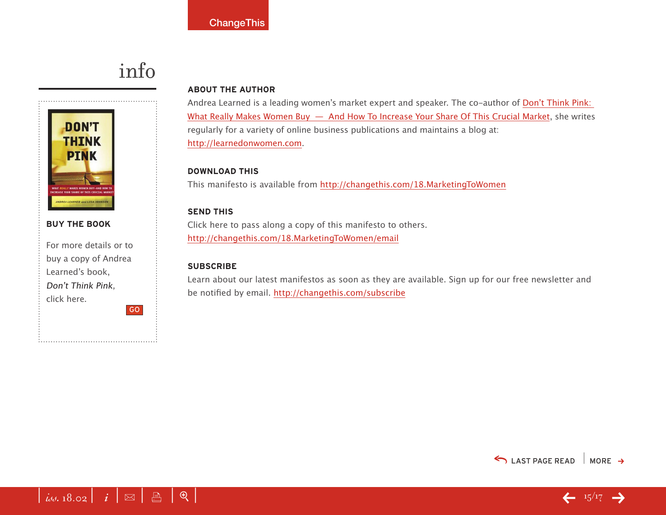# info



# **buy the book**

For more details or to buy a copy of Andrea Learned's book, Don't Think Pink, click here. GO

# **About the Author**

Andrea Learned is a leading women's market expert and speaker. The co-author of [Don't Think Pink:](http://800ceoread.com/18.02DontThinkPink)  [What Really Makes Women Buy — And How To Increase Your Share Of This Crucial Marke](http://800ceoread.com/18.02DontThinkPink)t, she writes regularly for a variety of online business publications and maintains a blog at: <http://learnedonwomen.com>.

# **download this**

This manifesto is available from <http://changethis.com/18.MarketingToWomen>

# **send this**

Click here to pass along a copy of this manifesto to others. <http://changethis.com/18.MarketingToWomen/email>

# **Subscribe**

Learn about our latest manifestos as soon as they are available. Sign up for our free newsletter and be notified by email.<http://changethis.com/subscribe>





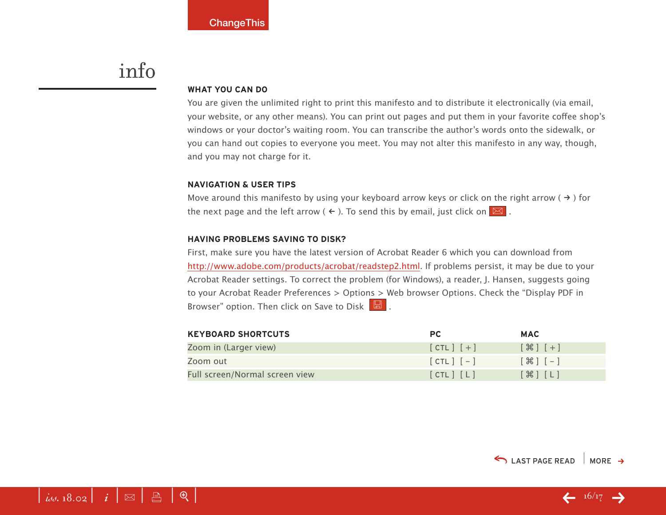# <span id="page-15-0"></span>info

#### **WHAT YOU CAN DO**

You are given the unlimited right to print this manifesto and to distribute it electronically (via email, your website, or any other means). You can print out pages and put them in your favorite coffee shop's windows or your doctor's waiting room. You can transcribe the author's words onto the sidewalk, or you can hand out copies to everyone you meet. You may not alter this manifesto in any way, though, and you may not charge for it.

#### **Navigation & User Tips**

Move around this manifesto by using your keyboard arrow keys or click on the right arrow ( $\rightarrow$ ) for the next page and the left arrow (  $\leftarrow$  ). To send this by email, just click on  $\boxed{\boxtimes}$  .

#### **Having problems saving to disk?**

First, make sure you have the latest version of Acrobat Reader 6 which you can download from [http://www.adobe.com/products/acrobat/readstep2.html.](http://www.adobe.com/products/acrobat/readstep2.html) If problems persist, it may be due to your Acrobat Reader settings. To correct the problem (for Windows), a reader, J. Hansen, suggests going to your Acrobat Reader Preferences > Options > Web browser Options. Check the "Display PDF in Browser" option. Then click on Save to Disk  $\boxed{\boxtimes}$ .

| <b>KEYBOARD SHORTCUTS</b>      | <b>PC</b>     | <b>MAC</b>                         |
|--------------------------------|---------------|------------------------------------|
| Zoom in (Larger view)          | $[CIL]$ $[+]$ | $[$ $\mathcal{H}$ $]$ $[$ $+$ $]$  |
| Zoom out                       | $[CIL]$ $[-]$ | $[ \; \mathcal{H} \; ] \; [- \; ]$ |
| Full screen/Normal screen view | [CIL] [L]     | $[\mathcal{H}]$ $[L]$              |